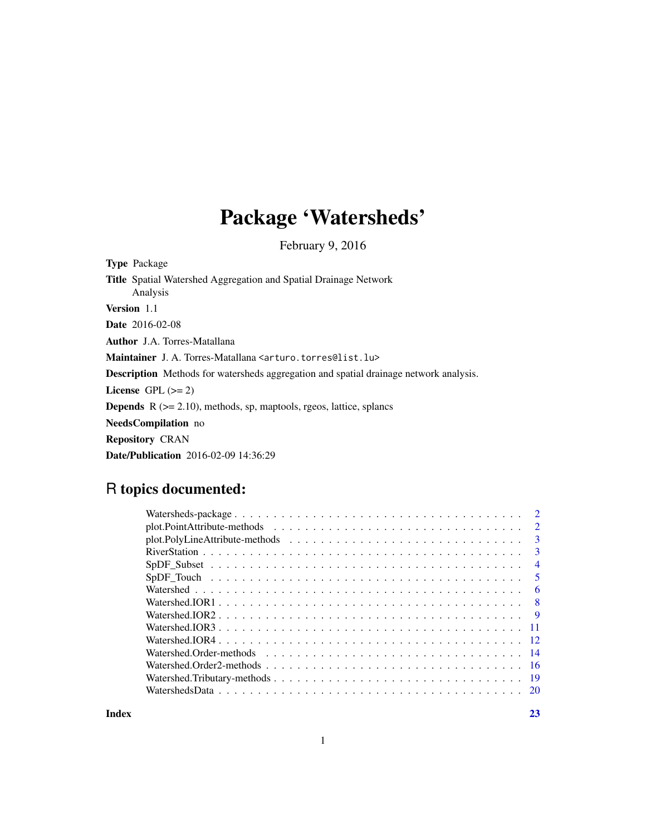# Package 'Watersheds'

February 9, 2016

| <b>Type Package</b>                                                                          |
|----------------------------------------------------------------------------------------------|
| <b>Title</b> Spatial Watershed Aggregation and Spatial Drainage Network<br>Analysis          |
| Version 1.1                                                                                  |
| <b>Date</b> 2016-02-08                                                                       |
| <b>Author</b> J.A. Torres-Matallana                                                          |
| <b>Maintainer</b> J. A. Torres-Matallana <arturo.torres@list.lu></arturo.torres@list.lu>     |
| <b>Description</b> Methods for watersheds aggregation and spatial drainage network analysis. |
| License GPL $(>= 2)$                                                                         |
| <b>Depends</b> $R$ ( $>= 2.10$ ), methods, sp, maptools, rgeos, lattice, splancs             |
| <b>NeedsCompilation</b> no                                                                   |
| <b>Repository CRAN</b>                                                                       |
| <b>Date/Publication</b> 2016-02-09 14:36:29                                                  |

# R topics documented:

| $\overline{2}$ |  |  |
|----------------|--|--|
| $\overline{3}$ |  |  |
| $\overline{3}$ |  |  |
| $\overline{4}$ |  |  |
| 5              |  |  |
| - 6            |  |  |
|                |  |  |
|                |  |  |
|                |  |  |
|                |  |  |
|                |  |  |
|                |  |  |
| - 19           |  |  |
|                |  |  |
|                |  |  |

**Index** [23](#page-22-0)

1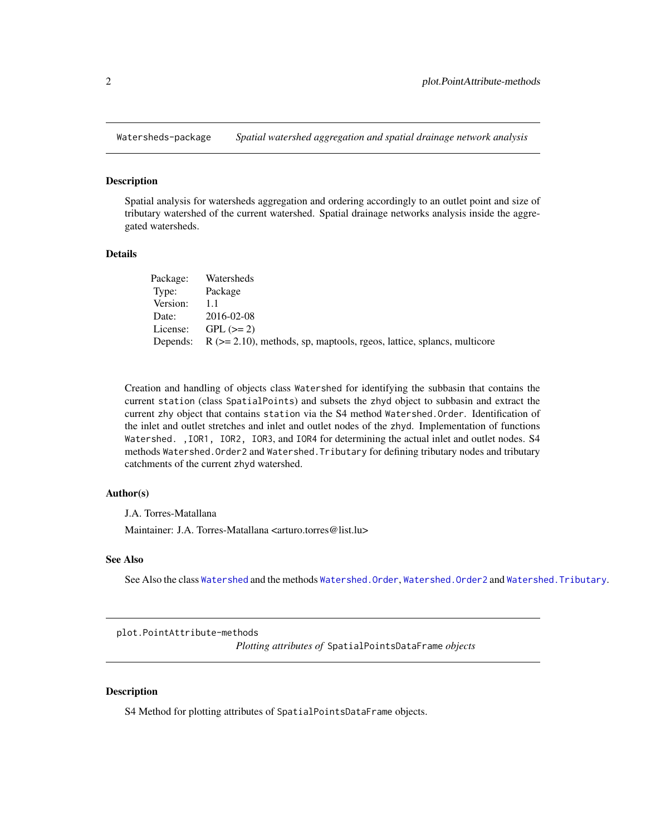<span id="page-1-0"></span>

#### Description

Spatial analysis for watersheds aggregation and ordering accordingly to an outlet point and size of tributary watershed of the current watershed. Spatial drainage networks analysis inside the aggregated watersheds.

#### **Details**

| Package: | Watersheds                                                                             |
|----------|----------------------------------------------------------------------------------------|
| Type:    | Package                                                                                |
| Version: | 11                                                                                     |
| Date:    | 2016-02-08                                                                             |
|          | License: $GPL (> = 2)$                                                                 |
|          | Depends: $R$ ( $> = 2.10$ ), methods, sp, maptools, rgeos, lattice, splancs, multicore |

Creation and handling of objects class Watershed for identifying the subbasin that contains the current station (class SpatialPoints) and subsets the zhyd object to subbasin and extract the current zhy object that contains station via the S4 method Watershed.Order. Identification of the inlet and outlet stretches and inlet and outlet nodes of the zhyd. Implementation of functions Watershed. ,IOR1, IOR2, IOR3, and IOR4 for determining the actual inlet and outlet nodes. S4 methods Watershed.Order2 and Watershed.Tributary for defining tributary nodes and tributary catchments of the current zhyd watershed.

#### Author(s)

J.A. Torres-Matallana

Maintainer: J.A. Torres-Matallana <arturo.torres@list.lu>

#### See Also

See Also the class [Watershed](#page-5-1) and the methods [Watershed.Order](#page-13-1), [Watershed.Order2](#page-15-1) and [Watershed.Tributary](#page-18-1).

plot.PointAttribute-methods

*Plotting attributes of* SpatialPointsDataFrame *objects*

#### **Description**

S4 Method for plotting attributes of SpatialPointsDataFrame objects.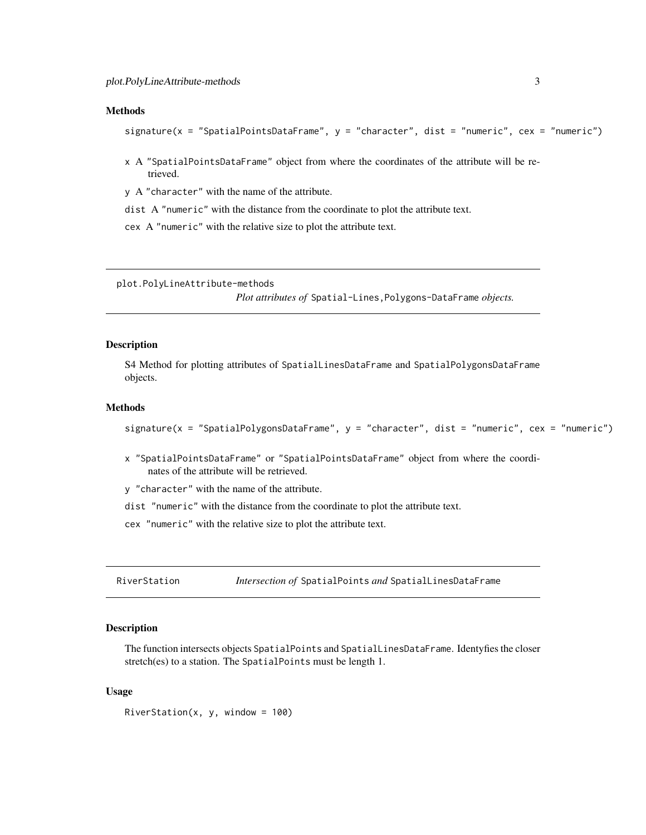#### <span id="page-2-0"></span>Methods

```
signature(x = "SpatialPointsDataFrame", y = "character", dist = "numeric", cex = "numeric")
```
x A "SpatialPointsDataFrame" object from where the coordinates of the attribute will be retrieved.

y A "character" with the name of the attribute.

dist A "numeric" with the distance from the coordinate to plot the attribute text.

cex A "numeric" with the relative size to plot the attribute text.

plot.PolyLineAttribute-methods

*Plot attributes of* Spatial-Lines,Polygons-DataFrame *objects.*

#### **Description**

S4 Method for plotting attributes of SpatialLinesDataFrame and SpatialPolygonsDataFrame objects.

# Methods

signature(x = "SpatialPolygonsDataFrame", y = "character", dist = "numeric", cex = "numeric")

x "SpatialPointsDataFrame" or "SpatialPointsDataFrame" object from where the coordinates of the attribute will be retrieved.

y "character" with the name of the attribute.

dist "numeric" with the distance from the coordinate to plot the attribute text.

cex "numeric" with the relative size to plot the attribute text.

RiverStation *Intersection of* SpatialPoints *and* SpatialLinesDataFrame

#### **Description**

The function intersects objects SpatialPoints and SpatialLinesDataFrame. Identyfies the closer stretch(es) to a station. The SpatialPoints must be length 1.

#### Usage

RiverStation(x, y, window =  $100$ )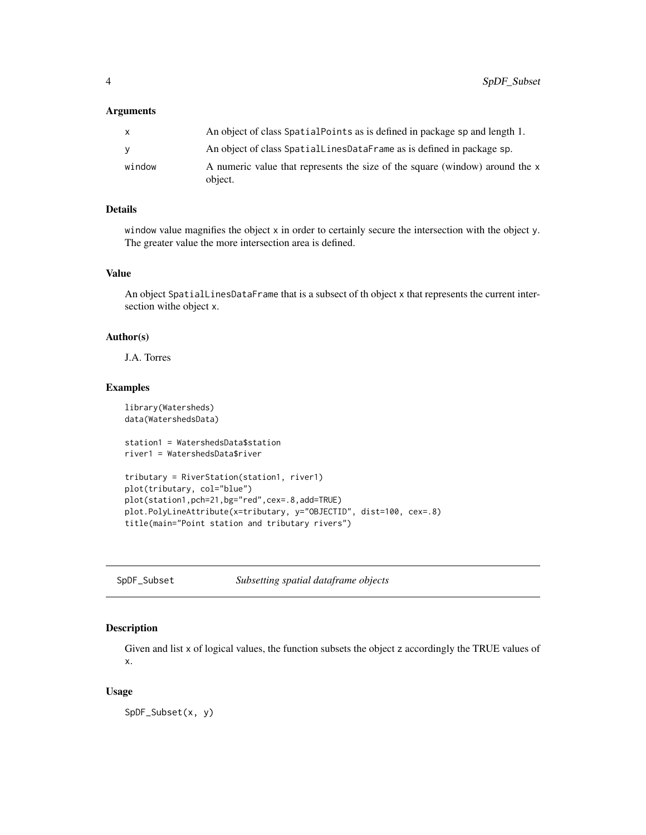#### <span id="page-3-0"></span>**Arguments**

| An object of class SpatialLinesDataFrame as is defined in package sp.        |
|------------------------------------------------------------------------------|
| A numeric value that represents the size of the square (window) around the x |
|                                                                              |

# Details

window value magnifies the object x in order to certainly secure the intersection with the object y. The greater value the more intersection area is defined.

# Value

An object SpatialLinesDataFrame that is a subsect of th object x that represents the current intersection withe object x.

# Author(s)

J.A. Torres

# Examples

library(Watersheds) data(WatershedsData)

```
station1 = WatershedsData$station
river1 = WatershedsData$river
```

```
tributary = RiverStation(station1, river1)
plot(tributary, col="blue")
plot(station1,pch=21,bg="red",cex=.8,add=TRUE)
plot.PolyLineAttribute(x=tributary, y="OBJECTID", dist=100, cex=.8)
title(main="Point station and tributary rivers")
```
SpDF\_Subset *Subsetting spatial dataframe objects*

# Description

Given and list x of logical values, the function subsets the object z accordingly the TRUE values of x.

#### Usage

SpDF\_Subset(x, y)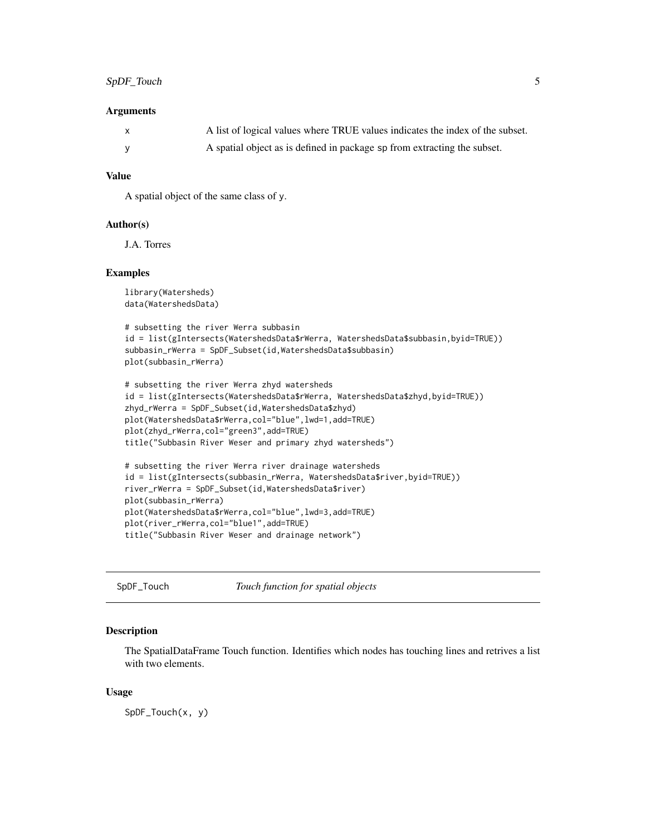#### <span id="page-4-0"></span>**Arguments**

| $\mathbf{x}$ | A list of logical values where TRUE values indicates the index of the subset. |
|--------------|-------------------------------------------------------------------------------|
|              | A spatial object as is defined in package sp from extracting the subset.      |

# Value

A spatial object of the same class of y.

#### Author(s)

J.A. Torres

# Examples

```
library(Watersheds)
data(WatershedsData)
```

```
# subsetting the river Werra subbasin
id = list(gIntersects(WatershedsData$rWerra, WatershedsData$subbasin,byid=TRUE))
subbasin_rWerra = SpDF_Subset(id,WatershedsData$subbasin)
plot(subbasin_rWerra)
```

```
# subsetting the river Werra zhyd watersheds
id = list(gIntersects(WatershedsData$rWerra, WatershedsData$zhyd,byid=TRUE))
zhyd_rWerra = SpDF_Subset(id,WatershedsData$zhyd)
plot(WatershedsData$rWerra,col="blue",lwd=1,add=TRUE)
plot(zhyd_rWerra,col="green3",add=TRUE)
title("Subbasin River Weser and primary zhyd watersheds")
```

```
# subsetting the river Werra river drainage watersheds
id = list(gIntersects(subbasin_rWerra, WatershedsData$river,byid=TRUE))
river_rWerra = SpDF_Subset(id,WatershedsData$river)
plot(subbasin_rWerra)
plot(WatershedsData$rWerra,col="blue",lwd=3,add=TRUE)
plot(river_rWerra,col="blue1",add=TRUE)
title("Subbasin River Weser and drainage network")
```
SpDF\_Touch *Touch function for spatial objects*

#### Description

The SpatialDataFrame Touch function. Identifies which nodes has touching lines and retrives a list with two elements.

#### Usage

SpDF\_Touch(x, y)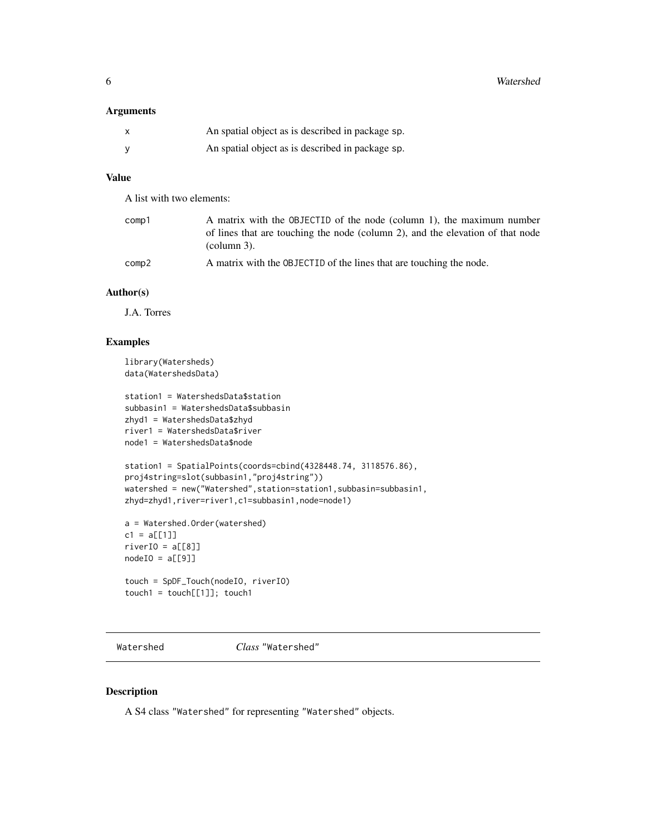<span id="page-5-0"></span>6 Watershed

# Arguments

| $\boldsymbol{\mathsf{x}}$ | An spatial object as is described in package sp. |
|---------------------------|--------------------------------------------------|
| <b>V</b>                  | An spatial object as is described in package sp. |

### Value

A list with two elements:

| comp1 | A matrix with the OBJECTID of the node (column 1), the maximum number          |
|-------|--------------------------------------------------------------------------------|
|       | of lines that are touching the node (column 2), and the elevation of that node |
|       | $\alpha$ (column 3).                                                           |
| comp2 | A matrix with the OBJECTID of the lines that are touching the node.            |

#### Author(s)

J.A. Torres

# Examples

```
library(Watersheds)
data(WatershedsData)
```

```
station1 = WatershedsData$station
subbasin1 = WatershedsData$subbasin
zhyd1 = WatershedsData$zhyd
river1 = WatershedsData$river
node1 = WatershedsData$node
```

```
station1 = SpatialPoints(coords=cbind(4328448.74, 3118576.86),
proj4string=slot(subbasin1,"proj4string"))
watershed = new("Watershed", station=station1, subbasin=subbasin1,
zhyd=zhyd1,river=river1,c1=subbasin1,node=node1)
```

```
a = Watershed.Order(watershed)
c1 = a[[1]]riverIO = a[[8]]nodeIO = a[[9]]
```

```
touch = SpDF_Touch(nodeIO, riverIO)
touch1 = touch[[1]]; touch1
```
<span id="page-5-1"></span>Watershed *Class* "Watershed"

#### Description

A S4 class "Watershed" for representing "Watershed" objects.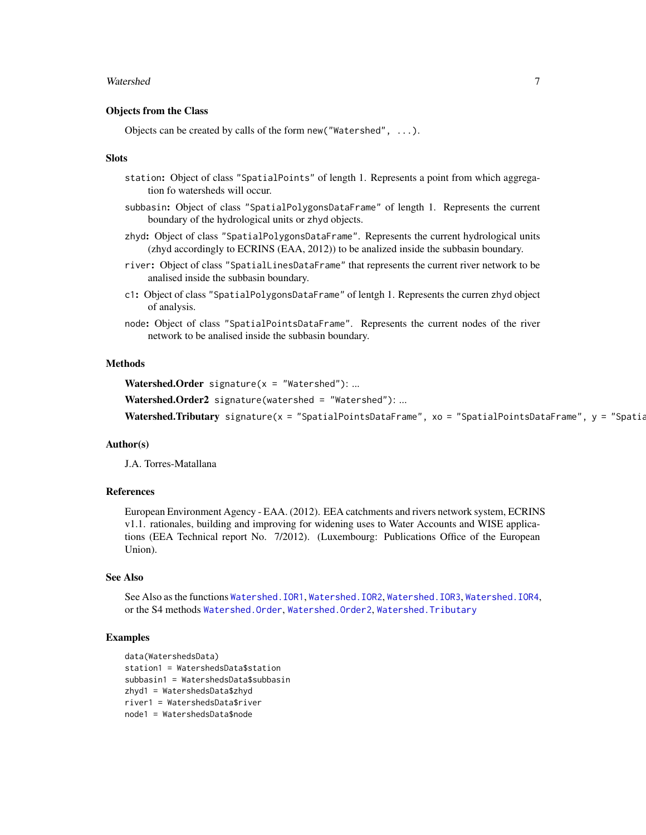#### <span id="page-6-0"></span>Watershed 7 and 7 and 7 and 7 and 7 and 7 and 7 and 7 and 7 and 7 and 7 and 7 and 7 and 7 and 7 and 7 and 7 and 7 and 7 and 7 and 7 and 7 and 7 and 7 and 7 and 7 and 7 and 7 and 7 and 7 and 7 and 7 and 7 and 7 and 7 and 7

#### Objects from the Class

Objects can be created by calls of the form new("Watershed", ...).

#### Slots

- station: Object of class "SpatialPoints" of length 1. Represents a point from which aggregation fo watersheds will occur.
- subbasin: Object of class "SpatialPolygonsDataFrame" of length 1. Represents the current boundary of the hydrological units or zhyd objects.
- zhyd: Object of class "SpatialPolygonsDataFrame". Represents the current hydrological units (zhyd accordingly to ECRINS (EAA, 2012)) to be analized inside the subbasin boundary.
- river: Object of class "SpatialLinesDataFrame" that represents the current river network to be analised inside the subbasin boundary.
- c1: Object of class "SpatialPolygonsDataFrame" of lentgh 1. Represents the curren zhyd object of analysis.
- node: Object of class "SpatialPointsDataFrame". Represents the current nodes of the river network to be analised inside the subbasin boundary.

#### Methods

Watershed.Order signature( $x =$  "Watershed"): ...

Watershed.Order2 signature(watershed = "Watershed"): ...

Watershed.Tributary signature(x = "SpatialPointsDataFrame", xo = "SpatialPointsDataFrame", y = "Spatial

#### Author(s)

J.A. Torres-Matallana

#### References

European Environment Agency - EAA. (2012). EEA catchments and rivers network system, ECRINS v1.1. rationales, building and improving for widening uses to Water Accounts and WISE applications (EEA Technical report No. 7/2012). (Luxembourg: Publications Office of the European Union).

#### See Also

See Also as the functions [Watershed.IOR1](#page-7-1), [Watershed.IOR2](#page-8-1), [Watershed.IOR3](#page-10-1), [Watershed.IOR4](#page-11-1), or the S4 methods [Watershed.Order](#page-13-1), [Watershed.Order2](#page-15-1), [Watershed.Tributary](#page-18-1)

```
data(WatershedsData)
station1 = WatershedsData$station
subbasin1 = WatershedsData$subbasin
zhyd1 = WatershedsData$zhyd
river1 = WatershedsData$river
node1 = WatershedsData$node
```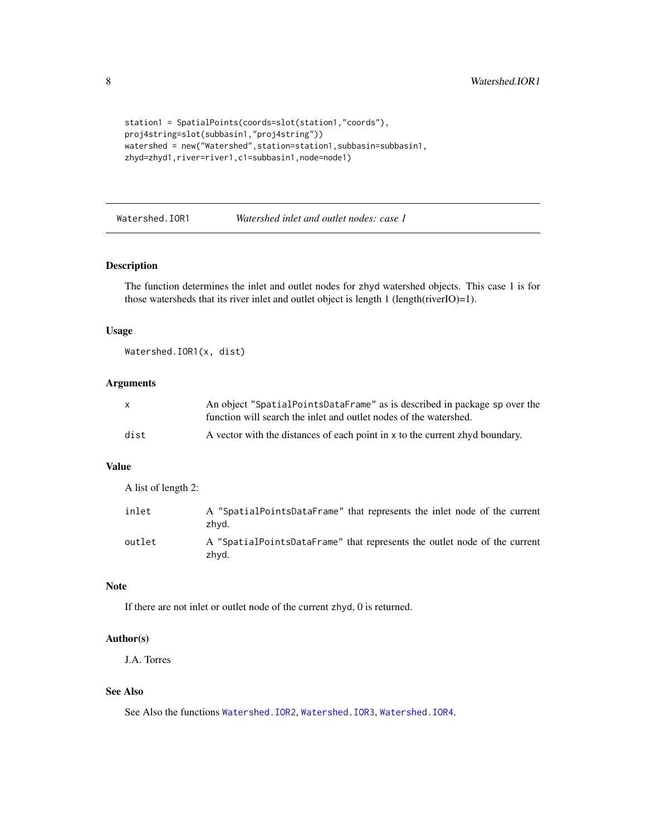<span id="page-7-0"></span>8 Watershed.IOR1

```
station1 = SpatialPoints(coords=slot(station1,"coords"),
proj4string=slot(subbasin1,"proj4string"))
watershed = new("Watershed",station=station1,subbasin=subbasin1,
zhyd=zhyd1,river=river1,c1=subbasin1,node=node1)
```
<span id="page-7-1"></span>Watershed.IOR1 *Watershed inlet and outlet nodes: case 1*

#### Description

The function determines the inlet and outlet nodes for zhyd watershed objects. This case 1 is for those watersheds that its river inlet and outlet object is length 1 (length(riverIO)=1).

#### Usage

Watershed.IOR1(x, dist)

#### Arguments

| $\mathsf{x}$ | An object "SpatialPointsDataFrame" as is described in package sp over the    |
|--------------|------------------------------------------------------------------------------|
|              | function will search the inlet and outlet nodes of the watershed.            |
| dist         | A vector with the distances of each point in x to the current zhyd boundary. |

# Value

A list of length 2:

| inlet  | A "SpatialPointsDataFrame" that represents the inlet node of the current<br>zhvd.  |
|--------|------------------------------------------------------------------------------------|
| outlet | A "SpatialPointsDataFrame" that represents the outlet node of the current<br>zhvd. |

# Note

If there are not inlet or outlet node of the current zhyd, 0 is returned.

# Author(s)

J.A. Torres

#### See Also

See Also the functions [Watershed.IOR2](#page-8-1), [Watershed.IOR3](#page-10-1), [Watershed.IOR4](#page-11-1).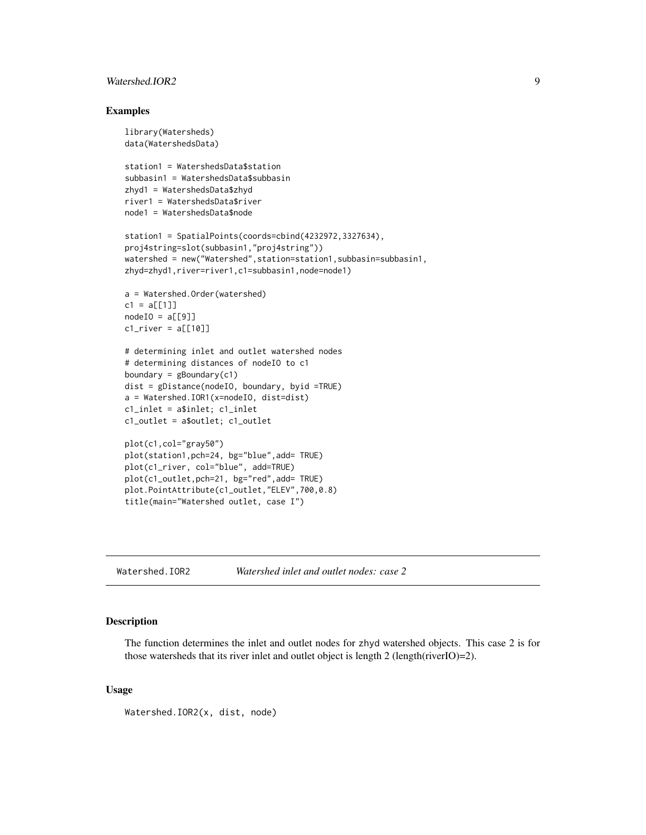# <span id="page-8-0"></span>Watershed.IOR2 9

#### Examples

```
library(Watersheds)
data(WatershedsData)
station1 = WatershedsData$station
subbasin1 = WatershedsData$subbasin
zhyd1 = WatershedsData$zhyd
river1 = WatershedsData$river
node1 = WatershedsData$node
station1 = SpatialPoints(coords=cbind(4232972,3327634),
proj4string=slot(subbasin1,"proj4string"))
watershed = new("Watershed",station=station1,subbasin=subbasin1,
zhyd=zhyd1,river=river1,c1=subbasin1,node=node1)
a = Watershed.Order(watershed)
c1 = a[[1]]nodeIO = a[[9]]cl\_river = a[[10]]# determining inlet and outlet watershed nodes
# determining distances of nodeIO to c1
boundary = gBoundary(c1)
dist = gDistance(nodeIO, boundary, byid =TRUE)
a = Watershed.IOR1(x=nodeIO, dist=dist)
c1_inlet = a$inlet; c1_inlet
c1_outlet = a$outlet; c1_outlet
plot(c1,col="gray50")
plot(station1,pch=24, bg="blue",add= TRUE)
plot(c1_river, col="blue", add=TRUE)
plot(c1_outlet,pch=21, bg="red",add= TRUE)
plot.PointAttribute(c1_outlet,"ELEV",700,0.8)
title(main="Watershed outlet, case I")
```
<span id="page-8-1"></span>Watershed.IOR2 *Watershed inlet and outlet nodes: case 2*

#### Description

The function determines the inlet and outlet nodes for zhyd watershed objects. This case 2 is for those watersheds that its river inlet and outlet object is length 2 (length(riverIO)=2).

#### Usage

Watershed.IOR2(x, dist, node)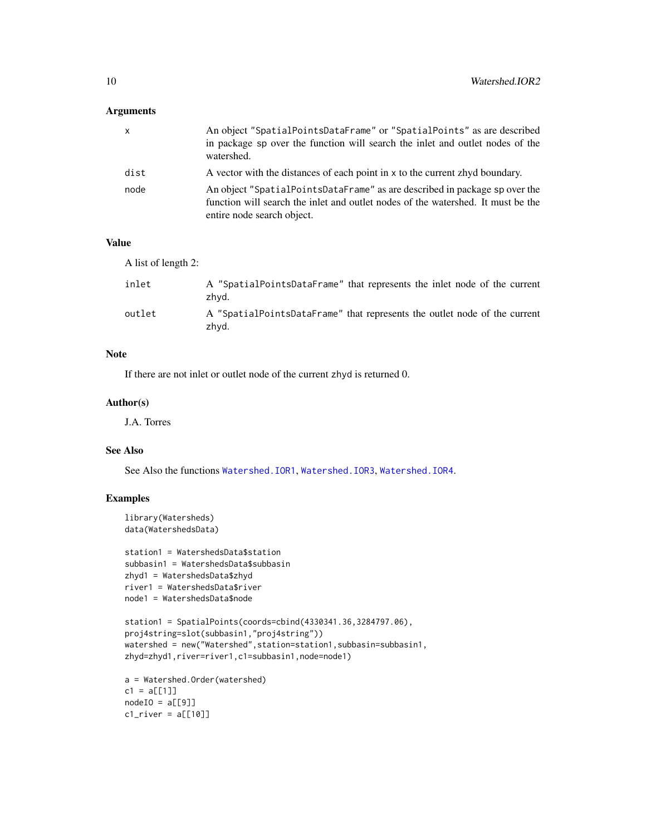# <span id="page-9-0"></span>Arguments

| X    | An object "SpatialPointsDataFrame" or "SpatialPoints" as are described<br>in package sp over the function will search the inlet and outlet nodes of the<br>watershed.                        |
|------|----------------------------------------------------------------------------------------------------------------------------------------------------------------------------------------------|
| dist | A vector with the distances of each point in x to the current zhyd boundary.                                                                                                                 |
| node | An object "SpatialPointsDataFrame" as are described in package sp over the<br>function will search the inlet and outlet nodes of the watershed. It must be the<br>entire node search object. |

# Value

A list of length 2:

| inlet  | A "SpatialPointsDataFrame" that represents the inlet node of the current<br>zhvd.  |
|--------|------------------------------------------------------------------------------------|
| outlet | A "SpatialPointsDataFrame" that represents the outlet node of the current<br>zhvd. |

# Note

If there are not inlet or outlet node of the current zhyd is returned 0.

# Author(s)

J.A. Torres

#### See Also

See Also the functions [Watershed.IOR1](#page-7-1), [Watershed.IOR3](#page-10-1), [Watershed.IOR4](#page-11-1).

```
library(Watersheds)
data(WatershedsData)
```

```
station1 = WatershedsData$station
subbasin1 = WatershedsData$subbasin
zhyd1 = WatershedsData$zhyd
river1 = WatershedsData$river
node1 = WatershedsData$node
```

```
station1 = SpatialPoints(coords=cbind(4330341.36,3284797.06),
proj4string=slot(subbasin1,"proj4string"))
watershed = new("Watershed", station=station1, subbasin=subbasin1,
zhyd=zhyd1,river=river1,c1=subbasin1,node=node1)
```

```
a = Watershed.Order(watershed)
c1 = a[[1]]nodeIO = a[[9]]cl\_river = a[[10]]
```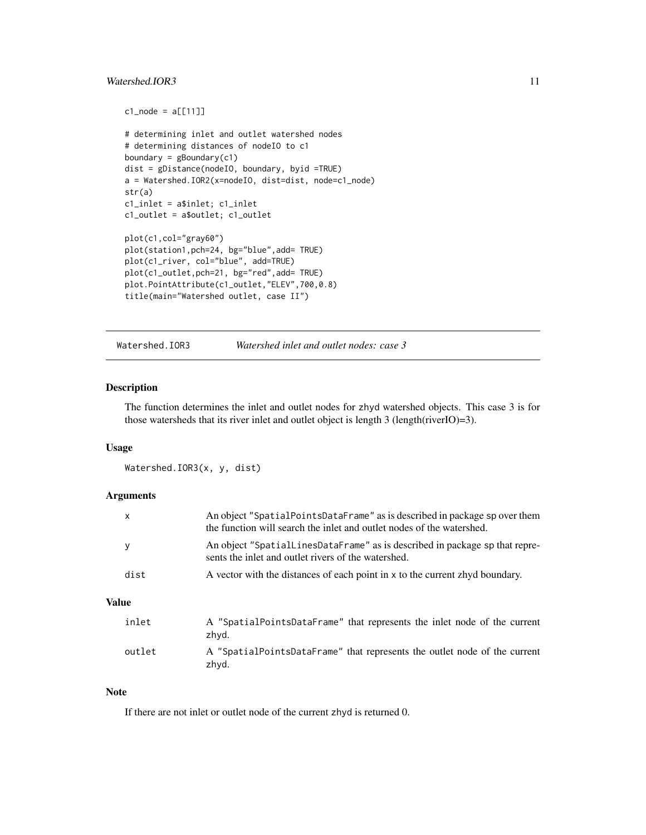# <span id="page-10-0"></span>Watershed.IOR3 11

```
c1_node = a[[11]]# determining inlet and outlet watershed nodes
# determining distances of nodeIO to c1
boundary = gBoundary(c1)
dist = gDistance(nodeIO, boundary, byid =TRUE)
a = Watershed.IOR2(x=nodeIO, dist=dist, node=c1_node)
str(a)
c1_inlet = a$inlet; c1_inlet
c1_outlet = a$outlet; c1_outlet
plot(c1,col="gray60")
plot(station1,pch=24, bg="blue",add= TRUE)
plot(c1_river, col="blue", add=TRUE)
plot(c1_outlet,pch=21, bg="red",add= TRUE)
plot.PointAttribute(c1_outlet,"ELEV",700,0.8)
title(main="Watershed outlet, case II")
```
<span id="page-10-1"></span>

# Watershed.IOR3 *Watershed inlet and outlet nodes: case 3*

#### Description

The function determines the inlet and outlet nodes for zhyd watershed objects. This case 3 is for those watersheds that its river inlet and outlet object is length 3 (length(riverIO)=3).

#### Usage

Watershed.IOR3(x, y, dist)

#### **Arguments**

| <b>Value</b> |                                                                                                                                                     |
|--------------|-----------------------------------------------------------------------------------------------------------------------------------------------------|
| dist         | A vector with the distances of each point in x to the current zhyd boundary.                                                                        |
| у            | An object "SpatialLinesDataFrame" as is described in package sp that repre-<br>sents the inlet and outlet rivers of the watershed.                  |
| X            | An object "SpatialPointsDataFrame" as is described in package sp over them<br>the function will search the inlet and outlet nodes of the watershed. |

# inlet A "SpatialPointsDataFrame" that represents the inlet node of the current zhyd. outlet A "SpatialPointsDataFrame" that represents the outlet node of the current zhyd.

#### Note

If there are not inlet or outlet node of the current zhyd is returned 0.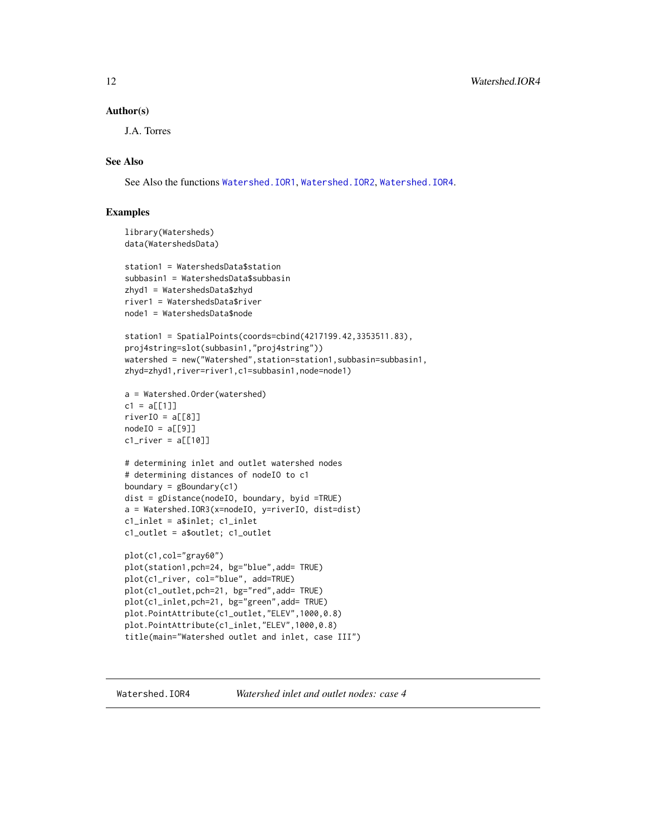#### <span id="page-11-0"></span>Author(s)

J.A. Torres

# See Also

See Also the functions [Watershed.IOR1](#page-7-1), [Watershed.IOR2](#page-8-1), [Watershed.IOR4](#page-11-1).

#### Examples

```
library(Watersheds)
data(WatershedsData)
```

```
station1 = WatershedsData$station
subbasin1 = WatershedsData$subbasin
zhyd1 = WatershedsData$zhyd
river1 = WatershedsData$river
node1 = WatershedsData$node
```

```
station1 = SpatialPoints(coords=cbind(4217199.42,3353511.83),
proj4string=slot(subbasin1,"proj4string"))
watershed = new("Watershed",station=station1,subbasin=subbasin1,
zhyd=zhyd1,river=river1,c1=subbasin1,node=node1)
```

```
a = Watershed.Order(watershed)
c1 = a[[1]]riverIO = a[[8]]nodeIO = a[[9]]
```

```
cl\_river = a[[10]]# determining inlet and outlet watershed nodes
# determining distances of nodeIO to c1
```

```
boundary = gBoundary(c1)
dist = gDistance(nodeIO, boundary, byid =TRUE)
a = Watershed.IOR3(x=nodeIO, y=riverIO, dist=dist)
c1_inlet = a$inlet; c1_inlet
c1_outlet = a$outlet; c1_outlet
```

```
plot(c1,col="gray60")
plot(station1,pch=24, bg="blue",add= TRUE)
plot(c1_river, col="blue", add=TRUE)
plot(c1_outlet,pch=21, bg="red",add= TRUE)
plot(c1_inlet,pch=21, bg="green",add= TRUE)
plot.PointAttribute(c1_outlet,"ELEV",1000,0.8)
plot.PointAttribute(c1_inlet,"ELEV",1000,0.8)
title(main="Watershed outlet and inlet, case III")
```
<span id="page-11-1"></span>

Watershed.IOR4 *Watershed inlet and outlet nodes: case 4*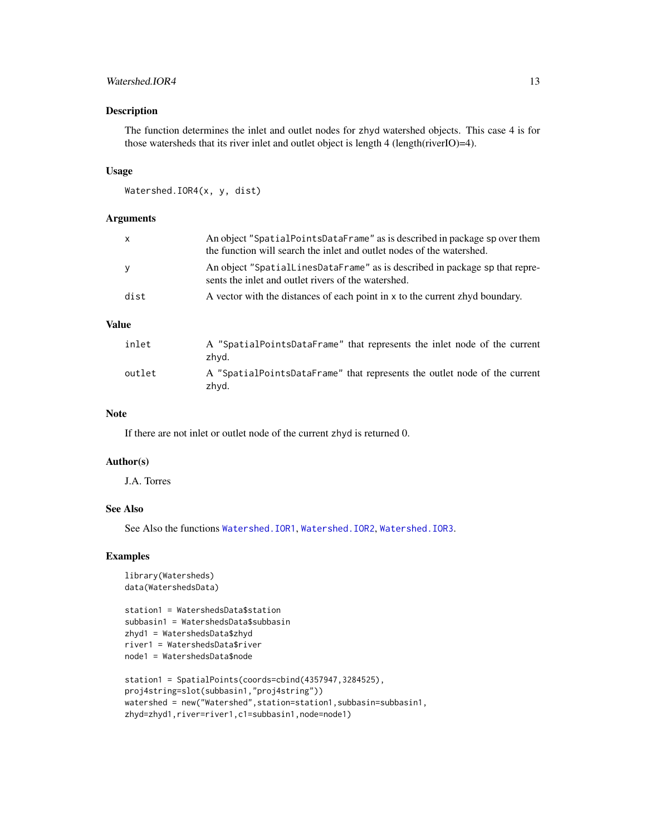# <span id="page-12-0"></span>Watershed.IOR4 13

# Description

The function determines the inlet and outlet nodes for zhyd watershed objects. This case 4 is for those watersheds that its river inlet and outlet object is length 4 (length(riverIO)=4).

#### Usage

```
Watershed.IOR4(x, y, dist)
```
#### Arguments

| $\mathsf{x}$ | An object "SpatialPointsDataFrame" as is described in package sp over them<br>the function will search the inlet and outlet nodes of the watershed. |
|--------------|-----------------------------------------------------------------------------------------------------------------------------------------------------|
| y            | An object "SpatialLinesDataFrame" as is described in package sp that repre-<br>sents the inlet and outlet rivers of the watershed.                  |
| dist         | A vector with the distances of each point in x to the current zhyd boundary.                                                                        |

# Value

| inlet  | A "SpatialPointsDataFrame" that represents the inlet node of the current<br>zhvd.  |
|--------|------------------------------------------------------------------------------------|
| outlet | A "SpatialPointsDataFrame" that represents the outlet node of the current<br>zhvd. |

#### Note

If there are not inlet or outlet node of the current zhyd is returned 0.

#### Author(s)

J.A. Torres

#### See Also

See Also the functions [Watershed.IOR1](#page-7-1), [Watershed.IOR2](#page-8-1), [Watershed.IOR3](#page-10-1).

```
library(Watersheds)
data(WatershedsData)
```

```
station1 = WatershedsData$station
subbasin1 = WatershedsData$subbasin
zhyd1 = WatershedsData$zhyd
river1 = WatershedsData$river
node1 = WatershedsData$node
```

```
station1 = SpatialPoints(coords=cbind(4357947,3284525),
proj4string=slot(subbasin1,"proj4string"))
watershed = new("Watershed", station=station1, subbasin=subbasin1,
zhyd=zhyd1,river=river1,c1=subbasin1,node=node1)
```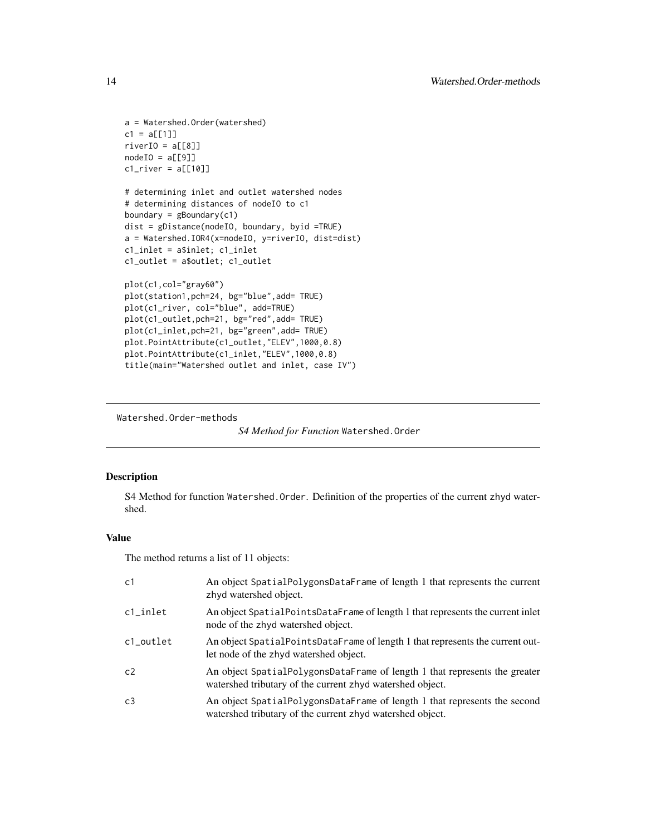```
a = Watershed.Order(watershed)
c1 = a[[1]]riverIO = a[[8]]nodeIO = a[[9]]cl\_river = a[[10]]# determining inlet and outlet watershed nodes
# determining distances of nodeIO to c1
boundary = gBoundary(c1)
dist = gDistance(nodeIO, boundary, byid =TRUE)
a = Watershed.IOR4(x=nodeIO, y=riverIO, dist=dist)
c1_inlet = a$inlet; c1_inlet
c1_outlet = a$outlet; c1_outlet
plot(c1,col="gray60")
plot(station1,pch=24, bg="blue",add= TRUE)
plot(c1_river, col="blue", add=TRUE)
plot(c1_outlet,pch=21, bg="red",add= TRUE)
plot(c1_inlet,pch=21, bg="green",add= TRUE)
plot.PointAttribute(c1_outlet,"ELEV",1000,0.8)
plot.PointAttribute(c1_inlet,"ELEV",1000,0.8)
title(main="Watershed outlet and inlet, case IV")
```
Watershed.Order-methods

```
S4 Method for Function Watershed.Order
```
# <span id="page-13-1"></span>Description

S4 Method for function Watershed.Order. Definition of the properties of the current zhyd watershed.

# Value

The method returns a list of 11 objects:

| c1        | An object SpatialPolygonsDataFrame of length 1 that represents the current<br>zhyd watershed object.                                    |
|-----------|-----------------------------------------------------------------------------------------------------------------------------------------|
| c1_inlet  | An object SpatialPointsDataFrame of length 1 that represents the current inlet<br>node of the zhyd watershed object.                    |
| c1_outlet | An object SpatialPointsDataFrame of length 1 that represents the current out-<br>let node of the zhyd watershed object.                 |
| c2        | An object SpatialPolygonsDataFrame of length 1 that represents the greater<br>watershed tributary of the current zhyd watershed object. |
| c3        | An object SpatialPolygonsDataFrame of length 1 that represents the second<br>watershed tributary of the current zhyd watershed object.  |

<span id="page-13-0"></span>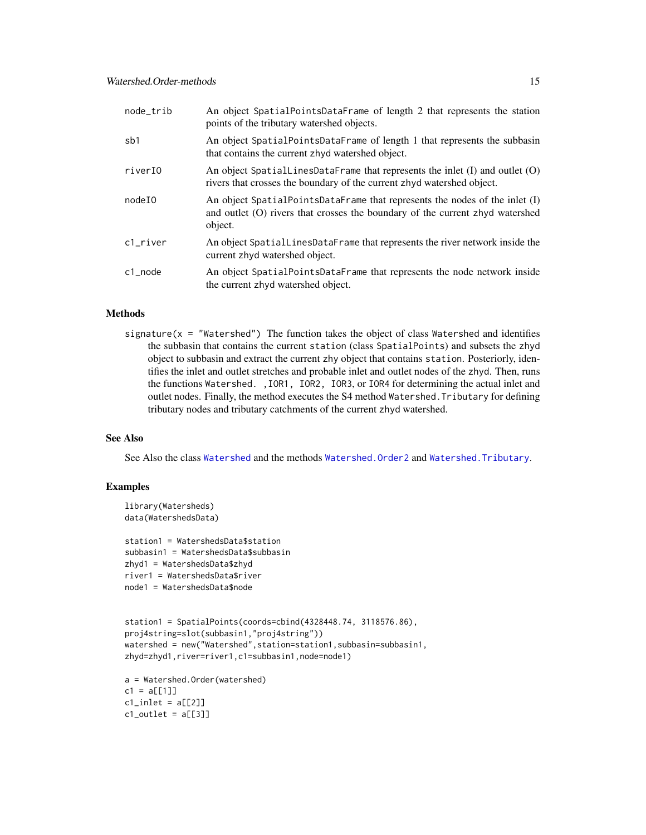<span id="page-14-0"></span>

| node_trib | An object SpatialPointsDataFrame of length 2 that represents the station<br>points of the tributary watershed objects.                                                    |
|-----------|---------------------------------------------------------------------------------------------------------------------------------------------------------------------------|
| sb1       | An object SpatialPointsDataFrame of length 1 that represents the subbasin<br>that contains the current zhyd watershed object.                                             |
| riverI0   | An object Spatial LinesDataFrame that represents the inlet $(I)$ and outlet $(O)$<br>rivers that crosses the boundary of the current zhyd watershed object.               |
| nodeIO    | An object SpatialPointsDataFrame that represents the nodes of the inlet $(I)$<br>and outlet (O) rivers that crosses the boundary of the current zhyd watershed<br>object. |
| c1 river  | An object SpatialLinesDataFrame that represents the river network inside the<br>current zhyd watershed object.                                                            |
| c1 node   | An object SpatialPointsDataFrame that represents the node network inside<br>the current zhyd watershed object.                                                            |

#### Methods

signature( $x =$  "Watershed") The function takes the object of class Watershed and identifies the subbasin that contains the current station (class SpatialPoints) and subsets the zhyd object to subbasin and extract the current zhy object that contains station. Posteriorly, identifies the inlet and outlet stretches and probable inlet and outlet nodes of the zhyd. Then, runs the functions Watershed. ,IOR1, IOR2, IOR3, or IOR4 for determining the actual inlet and outlet nodes. Finally, the method executes the S4 method Watershed.Tributary for defining tributary nodes and tributary catchments of the current zhyd watershed.

#### See Also

See Also the class [Watershed](#page-5-1) and the methods [Watershed.Order2](#page-15-1) and [Watershed.Tributary](#page-18-1).

```
library(Watersheds)
data(WatershedsData)
```

```
station1 = WatershedsData$station
subbasin1 = WatershedsData$subbasin
zhyd1 = WatershedsData$zhyd
river1 = WatershedsData$river
node1 = WatershedsData$node
```

```
station1 = SpatialPoints(coords=cbind(4328448.74, 3118576.86),
proj4string=slot(subbasin1,"proj4string"))
watershed = new("Watershed", station=station1, subbasin=subbasin1,
zhyd=zhyd1,river=river1,c1=subbasin1,node=node1)
```

```
a = Watershed.Order(watershed)
c1 = a[[1]]cl\_inlet = a[[2]]cl_outlet = a[[3]]
```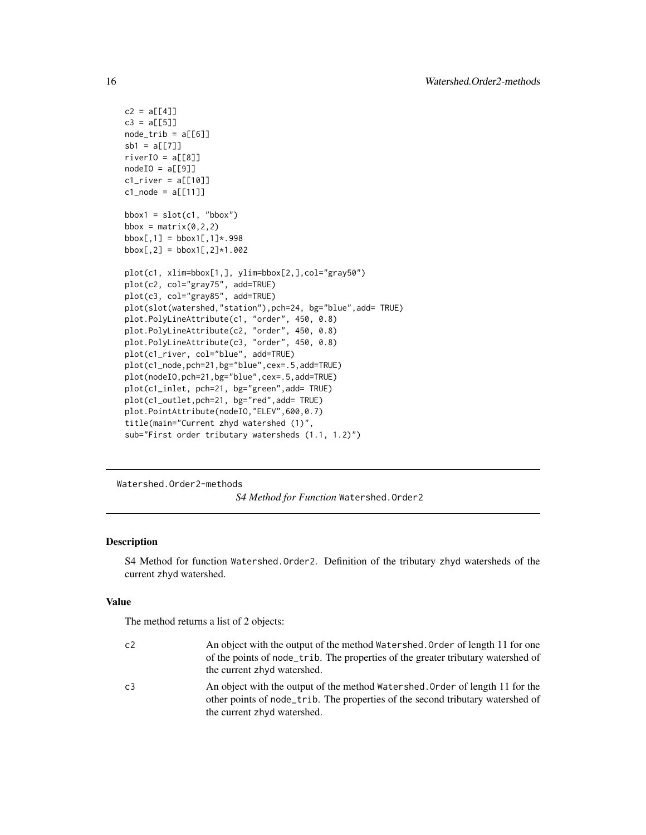```
c2 = a[[4]]c3 = a[[5]]node\_trib = a[[6]]sb1 = a[[7]]riverIO = a[[8]]nodeIO = a[[9]]cl\_river = a[[10]]c1_node = a[[11]]bbox1 = slot(cl, "bbox")bbox = matrix(0, 2, 2)bbox[, 1] = bbox1[, 1] * .998bbox[,2] = bbox1[,2]*1.002plot(c1, xlim=bbox[1,], ylim=bbox[2,],col="gray50")
plot(c2, col="gray75", add=TRUE)
plot(c3, col="gray85", add=TRUE)
plot(slot(watershed,"station"),pch=24, bg="blue",add= TRUE)
plot.PolyLineAttribute(c1, "order", 450, 0.8)
plot.PolyLineAttribute(c2, "order", 450, 0.8)
plot.PolyLineAttribute(c3, "order", 450, 0.8)
plot(c1_river, col="blue", add=TRUE)
plot(c1_node,pch=21,bg="blue",cex=.5,add=TRUE)
plot(nodeIO,pch=21,bg="blue",cex=.5,add=TRUE)
plot(c1_inlet, pch=21, bg="green",add= TRUE)
plot(c1_outlet,pch=21, bg="red",add= TRUE)
plot.PointAttribute(nodeIO,"ELEV",600,0.7)
title(main="Current zhyd watershed (1)",
sub="First order tributary watersheds (1.1, 1.2)")
```
Watershed.Order2-methods

#### *S4 Method for Function* Watershed.Order2

# <span id="page-15-1"></span>Description

S4 Method for function Watershed.Order2. Definition of the tributary zhyd watersheds of the current zhyd watershed.

#### Value

The method returns a list of 2 objects:

| c <sub>2</sub> | An object with the output of the method Watershed. Order of length 11 for one<br>of the points of node_trib. The properties of the greater tributary watershed of<br>the current zhyd watershed. |
|----------------|--------------------------------------------------------------------------------------------------------------------------------------------------------------------------------------------------|
| C <sub>3</sub> | An object with the output of the method Watershed. Order of length 11 for the<br>other points of node trib. The properties of the second tributary watershed of<br>the current zhyd watershed.   |

<span id="page-15-0"></span>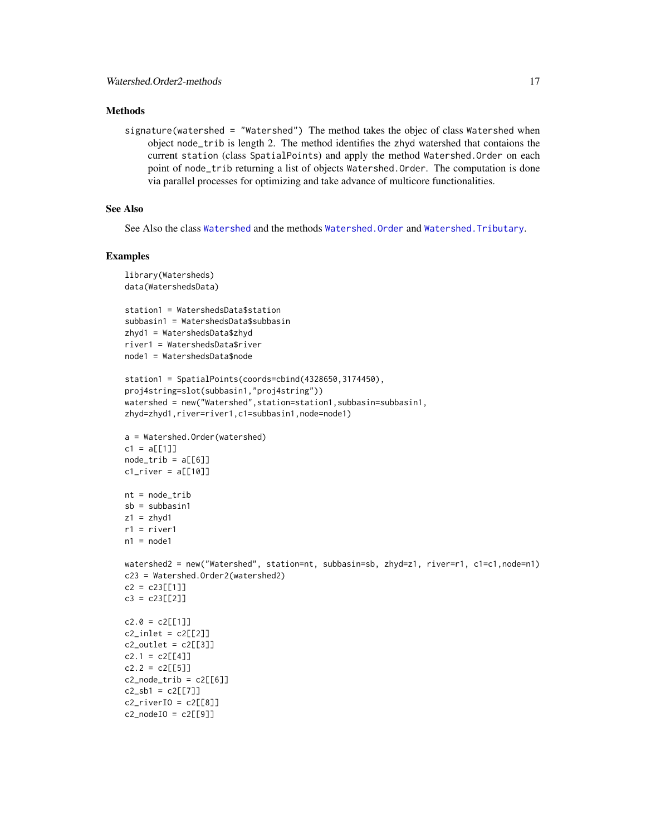# <span id="page-16-0"></span>**Methods**

signature(watershed = "Watershed") The method takes the objec of class Watershed when object node\_trib is length 2. The method identifies the zhyd watershed that contaions the current station (class SpatialPoints) and apply the method Watershed.Order on each point of node\_trib returning a list of objects Watershed.Order. The computation is done via parallel processes for optimizing and take advance of multicore functionalities.

# See Also

See Also the class [Watershed](#page-5-1) and the methods Watershed. Order and Watershed. Tributary.

```
library(Watersheds)
data(WatershedsData)
station1 = WatershedsData$station
subbasin1 = WatershedsData$subbasin
zhyd1 = WatershedsData$zhyd
river1 = WatershedsData$river
node1 = WatershedsData$node
station1 = SpatialPoints(coords=cbind(4328650,3174450),
proj4string=slot(subbasin1,"proj4string"))
watershed = new("Watershed",station=station1,subbasin=subbasin1,
zhyd=zhyd1,river=river1,c1=subbasin1,node=node1)
a = Watershed.Order(watershed)
c1 = a[[1]]
node\_trib = a[[6]]cl\_river = a[[10]]nt = node_trib
sb = subbasin1
z1 = zhvd1r1 = river1n1 = node1watershed2 = new("Watershed", station=nt, subbasin=sb, zhyd=z1, river=r1, c1=c1,node=n1)
c23 = Watershed.Order2(watershed2)
c2 = c23[[1]]c3 = c23[[2]]c2.0 = c2[[1]]c2_inlet = c2[[2]]
c2_outlet = c2[[3]]c2.1 = c2[[4]]c2.2 = c2[[5]]c2_node_trib = c2[[6]]c2_sb1 = c2[[7]]c2<sub>river</sub>I0 = c2[[8]]
c2_nodeIO = c2[[9]]
```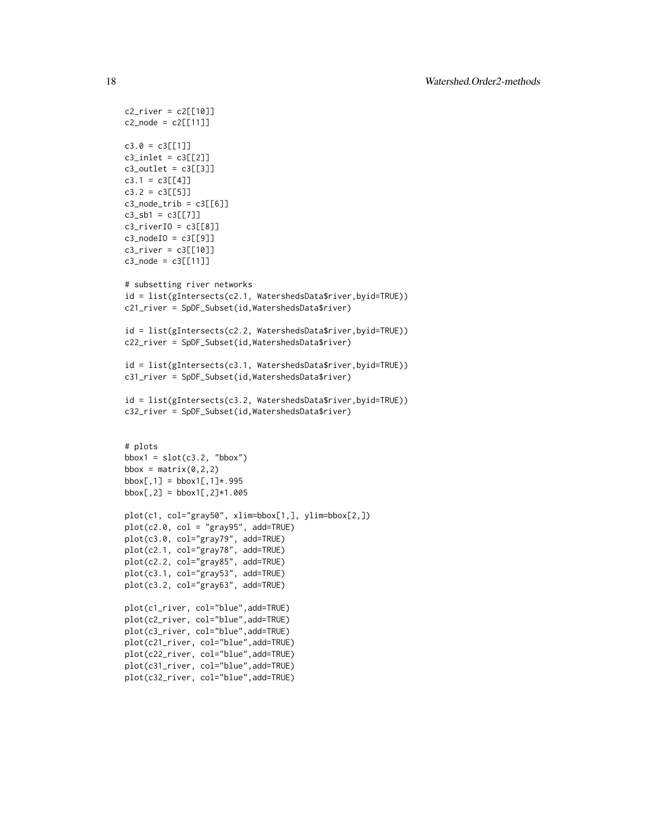```
c2_river = c2[[10]]
c2 node = c2[[11]]
c3.0 = c3[[1]]c3_inlet = c3[[2]]
c3_outlet = c3[[3]]
c3.1 = c3[[4]]c3.2 = c3[[5]]c3_node_trib = c3[[6]]
c3_sb1 = c3[[7]]
c3_riverIO = c3[[8]]
c3_nodeIO = c3[[9]]
c3_river = c3[[10]]
c3_node = c3[[11]]
# subsetting river networks
id = list(gIntersects(c2.1, WatershedsData$river,byid=TRUE))
c21_river = SpDF_Subset(id,WatershedsData$river)
id = list(gIntersects(c2.2, WatershedsData$river,byid=TRUE))
c22_river = SpDF_Subset(id,WatershedsData$river)
id = list(gIntersects(c3.1, WatershedsData$river,byid=TRUE))
c31_river = SpDF_Subset(id,WatershedsData$river)
id = list(gIntersects(c3.2, WatershedsData$river,byid=TRUE))
c32_river = SpDF_Subset(id,WatershedsData$river)
# plots
bbox1 = slot(c3.2, "bbox")bbox = matrix(0, 2, 2)bbox[,1] = bbox1[, 1] * .995bbox[, 2] = bbox1[, 2] * 1.005plot(c1, col="gray50", xlim=bbox[1,], ylim=bbox[2,])
plot(c2.0, col = "gray95", add=TRUE)
plot(c3.0, col="gray79", add=TRUE)
plot(c2.1, col="gray78", add=TRUE)
plot(c2.2, col="gray85", add=TRUE)
plot(c3.1, col="gray53", add=TRUE)
plot(c3.2, col="gray63", add=TRUE)
plot(c1_river, col="blue",add=TRUE)
plot(c2_river, col="blue",add=TRUE)
plot(c3_river, col="blue",add=TRUE)
plot(c21_river, col="blue",add=TRUE)
plot(c22_river, col="blue",add=TRUE)
plot(c31_river, col="blue",add=TRUE)
plot(c32_river, col="blue",add=TRUE)
```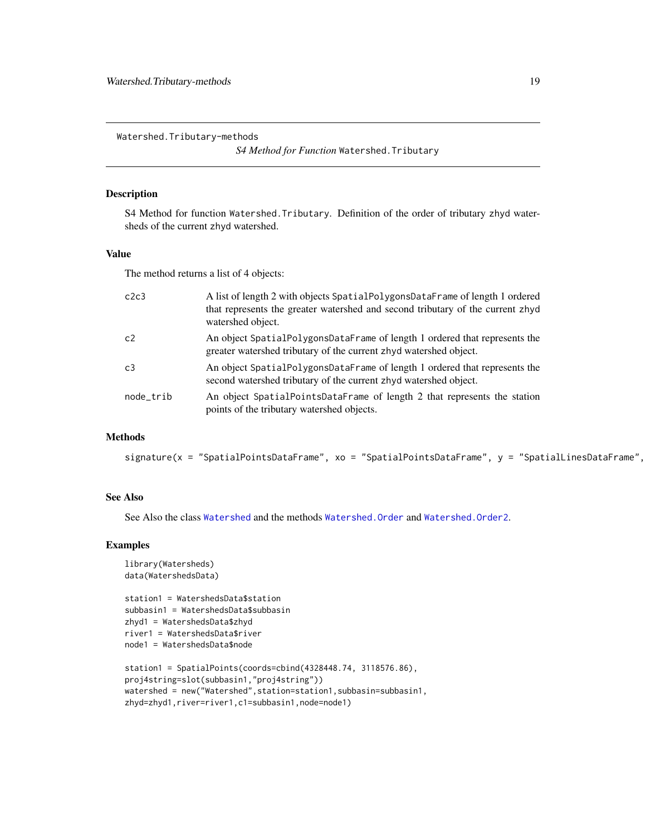<span id="page-18-0"></span>Watershed.Tributary-methods

*S4 Method for Function* Watershed.Tributary

# <span id="page-18-1"></span>Description

S4 Method for function Watershed.Tributary. Definition of the order of tributary zhyd watersheds of the current zhyd watershed.

#### Value

The method returns a list of 4 objects:

| c2c3           | A list of length 2 with objects SpatialPolygonsDataFrame of length 1 ordered<br>that represents the greater watershed and second tributary of the current zhyd<br>watershed object. |
|----------------|-------------------------------------------------------------------------------------------------------------------------------------------------------------------------------------|
| c <sub>2</sub> | An object SpatialPolygonsDataFrame of length 1 ordered that represents the<br>greater watershed tributary of the current zhyd watershed object.                                     |
| c3             | An object SpatialPolygonsDataFrame of length 1 ordered that represents the<br>second watershed tributary of the current zhyd watershed object.                                      |
| node_trib      | An object SpatialPointsDataFrame of length 2 that represents the station<br>points of the tributary watershed objects.                                                              |

#### Methods

signature(x = "SpatialPointsDataFrame", xo = "SpatialPointsDataFrame", y = "SpatialLinesDataFrame",

# See Also

See Also the class [Watershed](#page-5-1) and the methods [Watershed.Order](#page-13-1) and [Watershed.Order2](#page-15-1).

```
library(Watersheds)
data(WatershedsData)
```

```
station1 = WatershedsData$station
subbasin1 = WatershedsData$subbasin
zhyd1 = WatershedsData$zhyd
river1 = WatershedsData$river
node1 = WatershedsData$node
```

```
station1 = SpatialPoints(coords=cbind(4328448.74, 3118576.86),
proj4string=slot(subbasin1,"proj4string"))
watershed = new("Watershed", station=station1, subbasin=subbasin1,
zhyd=zhyd1,river=river1,c1=subbasin1,node=node1)
```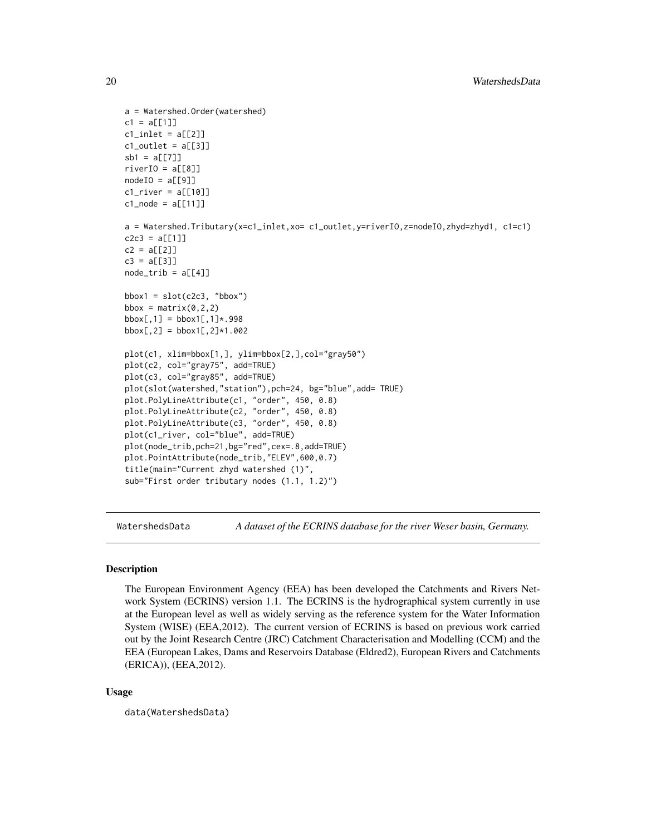```
a = Watershed.Order(watershed)
c1 = a[[1]]cl\_inlet = a[[2]]cl_outlet = a[[3]]sb1 = a[[7]]riverIO = a[[8]]nodeIO = a[[9]]cl\_river = a[[10]]c1_node = a[[11]]a = Watershed.Tributary(x=c1_inlet,xo= c1_outlet,y=riverIO,z=nodeIO,zhyd=zhyd1, c1=c1)
c2c3 = a[[1]]c2 = a[[2]]c3 = a[[3]]node\_trib = a[[4]]bbox1 = slot(c2c3, "bbox")bbox = matrix(0, 2, 2)bbox[, 1] = bbox1[, 1] * .998bbox[,2] = bbox1[,2]*1.002plot(c1, xlim=bbox[1,], ylim=bbox[2,],col="gray50")
plot(c2, col="gray75", add=TRUE)
plot(c3, col="gray85", add=TRUE)
plot(slot(watershed,"station"),pch=24, bg="blue",add= TRUE)
plot.PolyLineAttribute(c1, "order", 450, 0.8)
plot.PolyLineAttribute(c2, "order", 450, 0.8)
plot.PolyLineAttribute(c3, "order", 450, 0.8)
plot(c1_river, col="blue", add=TRUE)
plot(node_trib,pch=21,bg="red",cex=.8,add=TRUE)
plot.PointAttribute(node_trib,"ELEV",600,0.7)
title(main="Current zhyd watershed (1)",
sub="First order tributary nodes (1.1, 1.2)")
```
WatershedsData *A dataset of the ECRINS database for the river Weser basin, Germany.*

#### Description

The European Environment Agency (EEA) has been developed the Catchments and Rivers Network System (ECRINS) version 1.1. The ECRINS is the hydrographical system currently in use at the European level as well as widely serving as the reference system for the Water Information System (WISE) (EEA,2012). The current version of ECRINS is based on previous work carried out by the Joint Research Centre (JRC) Catchment Characterisation and Modelling (CCM) and the EEA (European Lakes, Dams and Reservoirs Database (Eldred2), European Rivers and Catchments (ERICA)), (EEA,2012).

#### Usage

data(WatershedsData)

<span id="page-19-0"></span>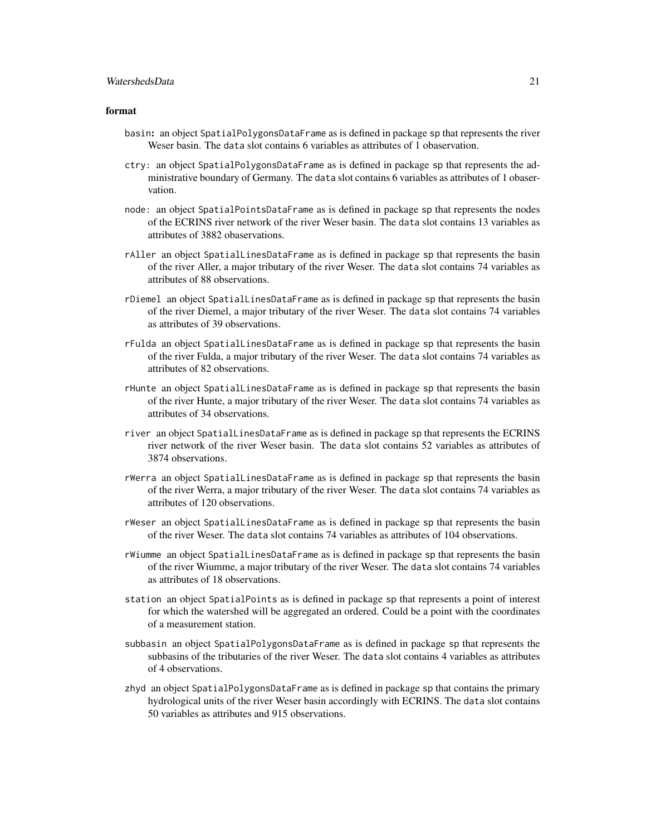# WatershedsData 21

#### format

- basin: an object SpatialPolygonsDataFrame as is defined in package sp that represents the river Weser basin. The data slot contains 6 variables as attributes of 1 obaservation.
- ctry: an object SpatialPolygonsDataFrame as is defined in package sp that represents the administrative boundary of Germany. The data slot contains 6 variables as attributes of 1 obaservation.
- node: an object SpatialPointsDataFrame as is defined in package sp that represents the nodes of the ECRINS river network of the river Weser basin. The data slot contains 13 variables as attributes of 3882 obaservations.
- rAller an object SpatialLinesDataFrame as is defined in package sp that represents the basin of the river Aller, a major tributary of the river Weser. The data slot contains 74 variables as attributes of 88 observations.
- rDiemel an object SpatialLinesDataFrame as is defined in package sp that represents the basin of the river Diemel, a major tributary of the river Weser. The data slot contains 74 variables as attributes of 39 observations.
- rFulda an object SpatialLinesDataFrame as is defined in package sp that represents the basin of the river Fulda, a major tributary of the river Weser. The data slot contains 74 variables as attributes of 82 observations.
- rHunte an object SpatialLinesDataFrame as is defined in package sp that represents the basin of the river Hunte, a major tributary of the river Weser. The data slot contains 74 variables as attributes of 34 observations.
- river an object SpatialLinesDataFrame as is defined in package sp that represents the ECRINS river network of the river Weser basin. The data slot contains 52 variables as attributes of 3874 observations.
- rWerra an object SpatialLinesDataFrame as is defined in package sp that represents the basin of the river Werra, a major tributary of the river Weser. The data slot contains 74 variables as attributes of 120 observations.
- rWeser an object SpatialLinesDataFrame as is defined in package sp that represents the basin of the river Weser. The data slot contains 74 variables as attributes of 104 observations.
- rWiumme an object SpatialLinesDataFrame as is defined in package sp that represents the basin of the river Wiumme, a major tributary of the river Weser. The data slot contains 74 variables as attributes of 18 observations.
- station an object SpatialPoints as is defined in package sp that represents a point of interest for which the watershed will be aggregated an ordered. Could be a point with the coordinates of a measurement station.
- subbasin an object SpatialPolygonsDataFrame as is defined in package sp that represents the subbasins of the tributaries of the river Weser. The data slot contains 4 variables as attributes of 4 observations.
- zhyd an object SpatialPolygonsDataFrame as is defined in package sp that contains the primary hydrological units of the river Weser basin accordingly with ECRINS. The data slot contains 50 variables as attributes and 915 observations.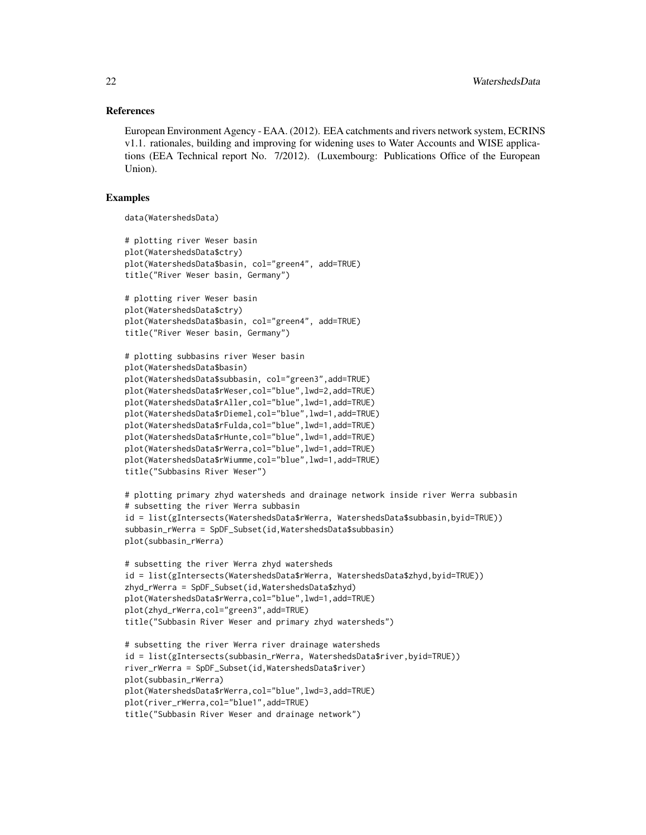#### References

European Environment Agency - EAA. (2012). EEA catchments and rivers network system, ECRINS v1.1. rationales, building and improving for widening uses to Water Accounts and WISE applications (EEA Technical report No. 7/2012). (Luxembourg: Publications Office of the European Union).

#### Examples

```
data(WatershedsData)
```

```
# plotting river Weser basin
plot(WatershedsData$ctry)
plot(WatershedsData$basin, col="green4", add=TRUE)
title("River Weser basin, Germany")
# plotting river Weser basin
plot(WatershedsData$ctry)
plot(WatershedsData$basin, col="green4", add=TRUE)
title("River Weser basin, Germany")
# plotting subbasins river Weser basin
plot(WatershedsData$basin)
plot(WatershedsData$subbasin, col="green3",add=TRUE)
plot(WatershedsData$rWeser,col="blue",lwd=2,add=TRUE)
plot(WatershedsData$rAller,col="blue",lwd=1,add=TRUE)
plot(WatershedsData$rDiemel,col="blue",lwd=1,add=TRUE)
plot(WatershedsData$rFulda,col="blue",lwd=1,add=TRUE)
plot(WatershedsData$rHunte,col="blue",lwd=1,add=TRUE)
plot(WatershedsData$rWerra,col="blue",lwd=1,add=TRUE)
plot(WatershedsData$rWiumme,col="blue",lwd=1,add=TRUE)
title("Subbasins River Weser")
# plotting primary zhyd watersheds and drainage network inside river Werra subbasin
# subsetting the river Werra subbasin
id = list(gIntersects(WatershedsData$rWerra, WatershedsData$subbasin,byid=TRUE))
subbasin_rWerra = SpDF_Subset(id,WatershedsData$subbasin)
plot(subbasin_rWerra)
# subsetting the river Werra zhyd watersheds
id = list(gIntersects(WatershedsData$rWerra, WatershedsData$zhyd,byid=TRUE))
zhyd_rWerra = SpDF_Subset(id,WatershedsData$zhyd)
plot(WatershedsData$rWerra,col="blue",lwd=1,add=TRUE)
plot(zhyd_rWerra,col="green3",add=TRUE)
title("Subbasin River Weser and primary zhyd watersheds")
# subsetting the river Werra river drainage watersheds
id = list(gIntersects(subbasin_rWerra, WatershedsData$river,byid=TRUE))
river_rWerra = SpDF_Subset(id,WatershedsData$river)
plot(subbasin_rWerra)
```
plot(WatershedsData\$rWerra,col="blue",lwd=3,add=TRUE)

title("Subbasin River Weser and drainage network")

plot(river\_rWerra,col="blue1",add=TRUE)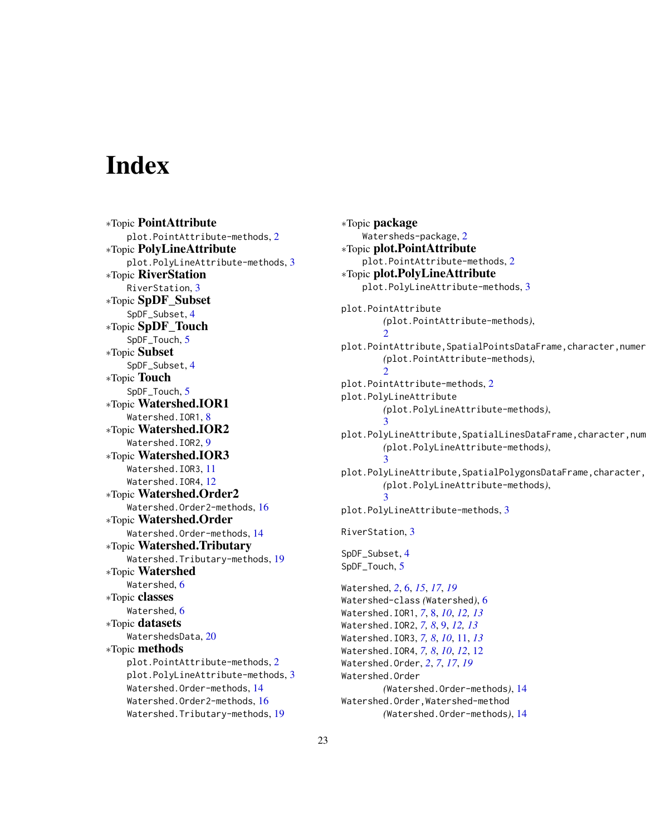# <span id="page-22-0"></span>**Index**

∗Topic PointAttribute plot.PointAttribute-methods, [2](#page-1-0) ∗Topic PolyLineAttribute plot.PolyLineAttribute-methods, [3](#page-2-0) ∗Topic RiverStation RiverStation, [3](#page-2-0) ∗Topic SpDF\_Subset SpDF\_Subset, [4](#page-3-0) ∗Topic SpDF\_Touch SpDF\_Touch, [5](#page-4-0) ∗Topic Subset SpDF\_Subset, [4](#page-3-0) ∗Topic Touch SpDF\_Touch, [5](#page-4-0) ∗Topic Watershed.IOR1 Watershed.IOR1, [8](#page-7-0) ∗Topic Watershed.IOR2 Watershed.IOR2, [9](#page-8-0) ∗Topic Watershed.IOR3 Watershed.IOR3, [11](#page-10-0) Watershed.IOR4, [12](#page-11-0) ∗Topic Watershed.Order2 Watershed.Order2-methods, [16](#page-15-0) ∗Topic Watershed.Order Watershed.Order-methods, [14](#page-13-0) ∗Topic Watershed.Tributary Watershed.Tributary-methods, [19](#page-18-0) ∗Topic Watershed Watershed, [6](#page-5-0) ∗Topic classes Watershed, [6](#page-5-0) ∗Topic datasets WatershedsData, [20](#page-19-0) ∗Topic methods plot.PointAttribute-methods, [2](#page-1-0) plot.PolyLineAttribute-methods, [3](#page-2-0) Watershed.Order-methods, [14](#page-13-0) Watershed.Order2-methods, [16](#page-15-0) Watershed.Tributary-methods, [19](#page-18-0)

∗Topic package Watersheds-package, [2](#page-1-0) ∗Topic plot.PointAttribute plot.PointAttribute-methods, [2](#page-1-0) ∗Topic plot.PolyLineAttribute plot.PolyLineAttribute-methods, [3](#page-2-0) plot.PointAttribute *(*plot.PointAttribute-methods*)*,  $\mathcal{D}$ plot.PointAttribute,SpatialPointsDataFrame,character,numer *(*plot.PointAttribute-methods*)*,  $\mathcal{D}$ plot.PointAttribute-methods, [2](#page-1-0) plot.PolyLineAttribute *(*plot.PolyLineAttribute-methods*)*, [3](#page-2-0) plot.PolyLineAttribute,SpatialLinesDataFrame,character,num *(*plot.PolyLineAttribute-methods*)*, [3](#page-2-0) plot.PolyLineAttribute,SpatialPolygonsDataFrame,character, *(*plot.PolyLineAttribute-methods*)*, [3](#page-2-0) plot.PolyLineAttribute-methods, [3](#page-2-0) RiverStation, [3](#page-2-0) SpDF\_Subset, [4](#page-3-0) SpDF\_Touch, [5](#page-4-0) Watershed, *[2](#page-1-0)*, [6,](#page-5-0) *[15](#page-14-0)*, *[17](#page-16-0)*, *[19](#page-18-0)* Watershed-class *(*Watershed*)*, [6](#page-5-0) Watershed.IOR1, *[7](#page-6-0)*, [8,](#page-7-0) *[10](#page-9-0)*, *[12,](#page-11-0) [13](#page-12-0)* Watershed.IOR2, *[7,](#page-6-0) [8](#page-7-0)*, [9,](#page-8-0) *[12,](#page-11-0) [13](#page-12-0)* Watershed.IOR3, *[7,](#page-6-0) [8](#page-7-0)*, *[10](#page-9-0)*, [11,](#page-10-0) *[13](#page-12-0)* Watershed.IOR4, *[7,](#page-6-0) [8](#page-7-0)*, *[10](#page-9-0)*, *[12](#page-11-0)*, [12](#page-11-0) Watershed.Order, *[2](#page-1-0)*, *[7](#page-6-0)*, *[17](#page-16-0)*, *[19](#page-18-0)* Watershed.Order *(*Watershed.Order-methods*)*, [14](#page-13-0) Watershed.Order,Watershed-method *(*Watershed.Order-methods*)*, [14](#page-13-0)